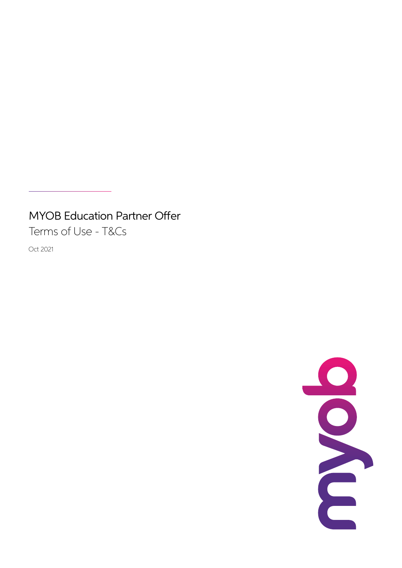# MYOB Education Partner Offer

Terms of Use - T&Cs

Oct 2021